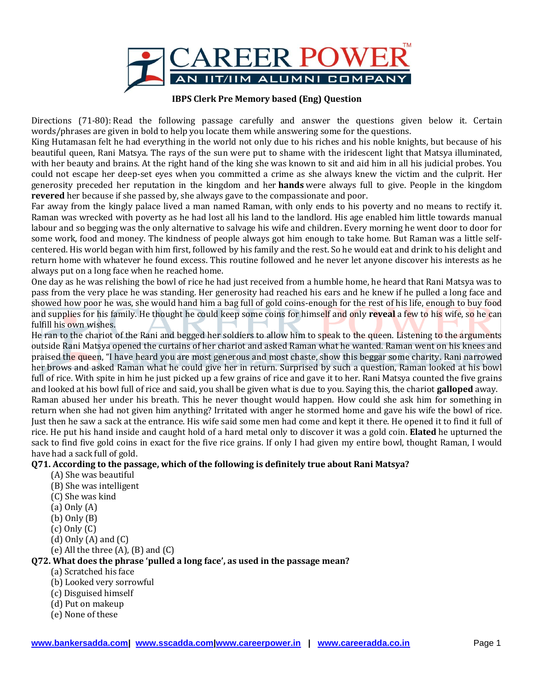

## **IBPS Clerk Pre Memory based (Eng) Question**

Directions (71-80): Read the following passage carefully and answer the questions given below it. Certain words/phrases are given in bold to help you locate them while answering some for the questions.

King Hutamasan felt he had everything in the world not only due to his riches and his noble knights, but because of his beautiful queen, Rani Matsya. The rays of the sun were put to shame with the iridescent light that Matsya illuminated, with her beauty and brains. At the right hand of the king she was known to sit and aid him in all his judicial probes. You could not escape her deep-set eyes when you committed a crime as she always knew the victim and the culprit. Her generosity preceded her reputation in the kingdom and her **hands** were always full to give. People in the kingdom **revered** her because if she passed by, she always gave to the compassionate and poor.

Far away from the kingly palace lived a man named Raman, with only ends to his poverty and no means to rectify it. Raman was wrecked with poverty as he had lost all his land to the landlord. His age enabled him little towards manual labour and so begging was the only alternative to salvage his wife and children. Every morning he went door to door for some work, food and money. The kindness of people always got him enough to take home. But Raman was a little selfcentered. His world began with him first, followed by his family and the rest. So he would eat and drink to his delight and return home with whatever he found excess. This routine followed and he never let anyone discover his interests as he always put on a long face when he reached home.

One day as he was relishing the bowl of rice he had just received from a humble home, he heard that Rani Matsya was to pass from the very place he was standing. Her generosity had reached his ears and he knew if he pulled a long face and showed how poor he was, she would hand him a bag full of gold coins-enough for the rest of his life, enough to buy food and supplies for his family. He thought he could keep some coins for himself and only **reveal** a few to his wife, so he can fulfill his own wishes.

He ran to the chariot of the Rani and begged her soldiers to allow him to speak to the queen. Listening to the arguments outside Rani Matsya opened the curtains of her chariot and asked Raman what he wanted. Raman went on his knees and praised the queen, "I have heard you are most generous and most chaste, show this beggar some charity. Rani narrowed her brows and asked Raman what he could give her in return. Surprised by such a question, Raman looked at his bowl full of rice. With spite in him he just picked up a few grains of rice and gave it to her. Rani Matsya counted the five grains and looked at his bowl full of rice and said, you shall be given what is due to you. Saying this, the chariot **galloped** away.

Raman abused her under his breath. This he never thought would happen. How could she ask him for something in return when she had not given him anything? Irritated with anger he stormed home and gave his wife the bowl of rice. Just then he saw a sack at the entrance. His wife said some men had come and kept it there. He opened it to find it full of rice. He put his hand inside and caught hold of a hard metal only to discover it was a gold coin. **Elated** he upturned the sack to find five gold coins in exact for the five rice grains. If only I had given my entire bowl, thought Raman, I would have had a sack full of gold.

#### **Q71. According to the passage, which of the following is definitely true about Rani Matsya?**

- (A) She was beautiful
- (B) She was intelligent
- (C) She was kind
- (a) Only (A)
- (b) Only (B)
- (c) Only (C)
- $(d)$  Only  $(A)$  and  $(C)$
- $(e)$  All the three  $(A)$ ,  $(B)$  and  $(C)$

## **Q72. What does the phrase 'pulled a long face', as used in the passage mean?**

## (a) Scratched his face

- (b) Looked very sorrowful
- (c) Disguised himself
- (d) Put on makeup
- (e) None of these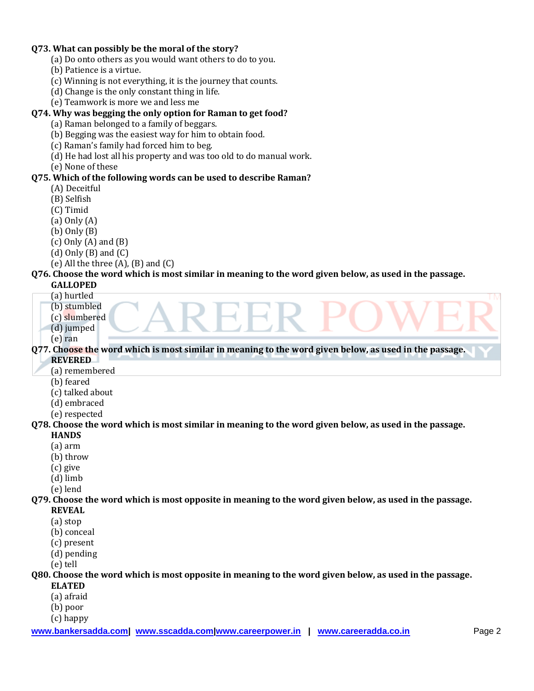## **Q73. What can possibly be the moral of the story?**

- (a) Do onto others as you would want others to do to you.
- (b) Patience is a virtue.
- (c) Winning is not everything, it is the journey that counts.
- (d) Change is the only constant thing in life.
- (e) Teamwork is more we and less me

## **Q74. Why was begging the only option for Raman to get food?**

- (a) Raman belonged to a family of beggars.
- (b) Begging was the easiest way for him to obtain food.
- (c) Raman's family had forced him to beg.
- (d) He had lost all his property and was too old to do manual work.
- (e) None of these

#### **Q75. Which of the following words can be used to describe Raman?**

- (A) Deceitful
- (B) Selfish
- (C) Timid
- (a) Only (A)
- (b) Only (B)
- $(c)$  Only  $(A)$  and  $(B)$
- $(d)$  Only  $(B)$  and  $(C)$
- (e) All the three  $(A)$ ,  $(B)$  and  $(C)$

#### **Q76. Choose the word which is most similar in meaning to the word given below, as used in the passage.**

- **GALLOPED**
	- (a) hurtled
	- (b) stumbled
	- (c) slumbered
	- (d) jumped
	- (e) ran

**Q77. Choose the word which is most similar in meaning to the word given below, as used in the passage.**

- **REVERED**
- (a) remembered
- (b) feared
- (c) talked about
- (d) embraced
- (e) respected

#### **Q78. Choose the word which is most similar in meaning to the word given below, as used in the passage.**

#### **HANDS**

- (a) arm
- (b) throw
- (c) give
- (d) limb
- (e) lend

#### **Q79. Choose the word which is most opposite in meaning to the word given below, as used in the passage.**

- **REVEAL**
- (a) stop
- (b) conceal
- (c) present
- (d) pending
- (e) tell

## **Q80. Choose the word which is most opposite in meaning to the word given below, as used in the passage.**

- **ELATED**
- (a) afraid
- (b) poor
- (c) happy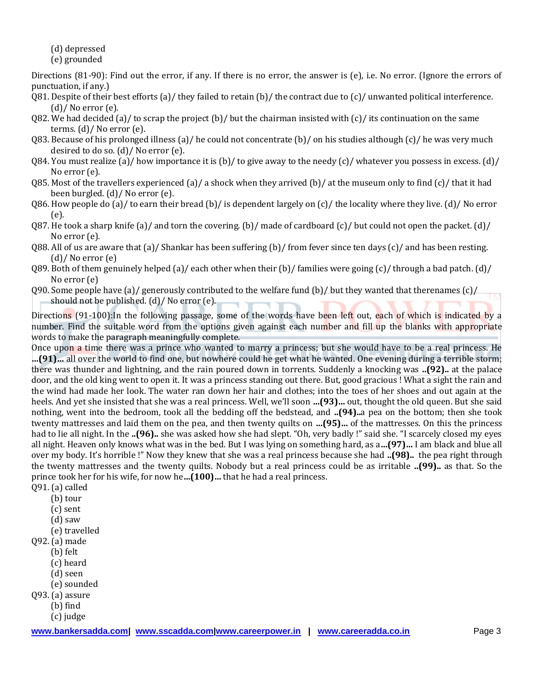(d) depressed (e) grounded

Directions (81-90): Find out the error, if any. If there is no error, the answer is (e), i.e. No error. (Ignore the errors of punctuation, if any.)

- Q81. Despite of their best efforts (a)/ they failed to retain (b)/ the contract due to (c)/ unwanted political interference. (d)/ No error (e).
- 082. We had decided (a)/ to scrap the project (b)/ but the chairman insisted with (c)/ its continuation on the same terms. (d)/ No error (e).
- Q83. Because of his prolonged illness (a)/ he could not concentrate (b)/ on his studies although (c)/ he was very much desired to do so. (d)/ No error (e).
- Q84. You must realize (a)/ how importance it is (b)/ to give away to the needy (c)/ whatever you possess in excess. (d)/ No error (e).
- Q85. Most of the travellers experienced (a)/ a shock when they arrived (b)/ at the museum only to find  $(c)$ / that it had been burgled. (d)/ No error (e).
- Q86. How people do (a)/ to earn their bread (b)/ is dependent largely on  $(c)$ / the locality where they live. (d)/ No error (e).
- Q87. He took a sharp knife (a)/ and torn the covering. (b)/ made of cardboard (c)/ but could not open the packet. (d)/ No error (e).
- 088. All of us are aware that (a)/ Shankar has been suffering (b)/ from fever since ten days (c)/ and has been resting. (d)/ No error (e)
- Q89. Both of them genuinely helped (a)/ each other when their (b)/ families were going (c)/ through a bad patch. (d)/ No error (e)
- Q90. Some people have (a)/ generously contributed to the welfare fund (b)/ but they wanted that therenames (c)/ should not be published. (d)/ No error (e).

Directions (91-100):In the following passage, some of the words have been left out, each of which is indicated by a number. Find the suitable word from the options given against each number and fill up the blanks with appropriate words to make the paragraph meaningfully complete.

Once upon a time there was a prince who wanted to marry a princess; but she would have to be a real princess. He **…(91)…** all over the world to find one, but nowhere could he get what he wanted. One evening during a terrible storm; there was thunder and lightning, and the rain poured down in torrents. Suddenly a knocking was **..(92)..** at the palace door, and the old king went to open it. It was a princess standing out there. But, good gracious ! What a sight the rain and the wind had made her look. The water ran down her hair and clothes; into the toes of her shoes and out again at the heels. And yet she insisted that she was a real princess. Well, we'll soon **…(93)…** out, thought the old queen. But she said nothing, went into the bedroom, took all the bedding off the bedstead, and **..(94)..**a pea on the bottom; then she took twenty mattresses and laid them on the pea, and then twenty quilts on **…(95)…** of the mattresses. On this the princess had to lie all night. In the **..(96)..** she was asked how she had slept. "Oh, very badly !" said she. "I scarcely closed my eyes all night. Heaven only knows what was in the bed. But I was lying on something hard, as a**…(97)…** I am black and blue all over my body. It's horrible !" Now they knew that she was a real princess because she had **..(98)..** the pea right through the twenty mattresses and the twenty quilts. Nobody but a real princess could be as irritable **..(99)..** as that. So the prince took her for his wife, for now he**…(100)…** that he had a real princess.

Q91. (a) called

- (b) tour
- (c) sent
- (d) saw
- (e) travelled
- Q92. (a) made
	- (b) felt
	- (c) heard
	- (d) seen
	- (e) sounded
- Q93. (a) assure
	- (b) find
	- (c) judge